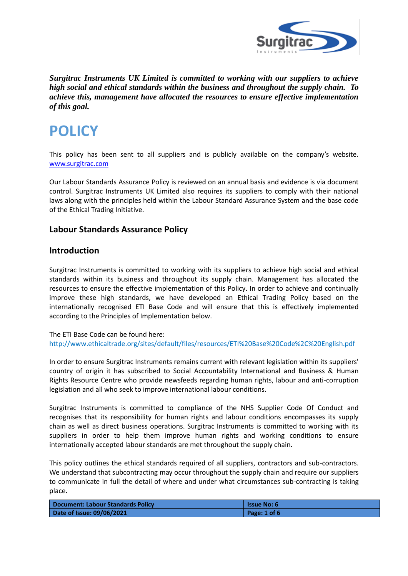

*Surgitrac Instruments UK Limited is committed to working with our suppliers to achieve high social and ethical standards within the business and throughout the supply chain. To achieve this, management have allocated the resources to ensure effective implementation of this goal.*

# **POLICY**

This policy has been sent to all suppliers and is publicly available on the company's website. [www.surgitrac.com](http://www.surgitrac.com/)

Our Labour Standards Assurance Policy is reviewed on an annual basis and evidence is via document control. Surgitrac Instruments UK Limited also requires its suppliers to comply with their national laws along with the principles held within the Labour Standard Assurance System and the base code of the Ethical Trading Initiative.

# **Labour Standards Assurance Policy**

#### **Introduction**

Surgitrac Instruments is committed to working with its suppliers to achieve high social and ethical standards within its business and throughout its supply chain. Management has allocated the resources to ensure the effective implementation of this Policy. In order to achieve and continually improve these high standards, we have developed an Ethical Trading Policy based on the internationally recognised ETI Base Code and will ensure that this is effectively implemented according to the Principles of Implementation below.

The ETI Base Code can be found here: <http://www.ethicaltrade.org/sites/default/files/resources/ETI%20Base%20Code%2C%20English.pdf>

In order to ensure Surgitrac Instruments remains current with relevant legislation within its suppliers' country of origin it has subscribed to Social Accountability International and Business & Human Rights Resource Centre who provide newsfeeds regarding human rights, labour and anti-corruption legislation and all who seek to improve international labour conditions.

Surgitrac Instruments is committed to compliance of the NHS Supplier Code Of Conduct and recognises that its responsibility for human rights and labour conditions encompasses its supply chain as well as direct business operations. Surgitrac Instruments is committed to working with its suppliers in order to help them improve human rights and working conditions to ensure internationally accepted labour standards are met throughout the supply chain.

This policy outlines the ethical standards required of all suppliers, contractors and sub-contractors. We understand that subcontracting may occur throughout the supply chain and require our suppliers to communicate in full the detail of where and under what circumstances sub-contracting is taking place.

| <b>Document: Labour Standards Policy</b> | <b>Issue No: 6</b> |
|------------------------------------------|--------------------|
| Date of Issue: 09/06/2021                | Page: $1$ of $6$   |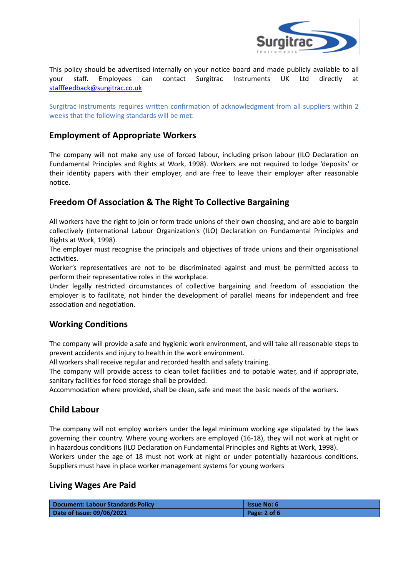

This policy should be advertised internally on your notice board and made publicly available to all your staff. Employees can contact Surgitrac Instruments UK Ltd directly at [stafffeedback@surgitrac.co.uk](mailto:stafffeedback@surgitrac.co.uk)

Surgitrac Instruments requires written confirmation of acknowledgment from all suppliers within 2 weeks that the following standards will be met:

# **Employment of Appropriate Workers**

The company will not make any use of forced labour, including prison labour (ILO Declaration on Fundamental Principles and Rights at Work, 1998). Workers are not required to lodge 'deposits' or their identity papers with their employer, and are free to leave their employer after reasonable notice.

# **Freedom Of Association & The Right To Collective Bargaining**

All workers have the right to join or form trade unions of their own choosing, and are able to bargain collectively (International Labour Organization's (ILO) Declaration on Fundamental Principles and Rights at Work, 1998).

The employer must recognise the principals and objectives of trade unions and their organisational activities.

Worker's representatives are not to be discriminated against and must be permitted access to perform their representative roles in the workplace.

Under legally restricted circumstances of collective bargaining and freedom of association the employer is to facilitate, not hinder the development of parallel means for independent and free association and negotiation.

#### **Working Conditions**

The company will provide a safe and hygienic work environment, and will take all reasonable steps to prevent accidents and injury to health in the work environment.

All workers shall receive regular and recorded health and safety training.

The company will provide access to clean toilet facilities and to potable water, and if appropriate, sanitary facilities for food storage shall be provided.

Accommodation where provided, shall be clean, safe and meet the basic needs of the workers.

# **Child Labour**

The company will not employ workers under the legal minimum working age stipulated by the laws governing their country. Where young workers are employed (16-18), they will not work at night or in hazardous conditions (ILO Declaration on Fundamental Principles and Rights at Work, 1998). Workers under the age of 18 must not work at night or under potentially hazardous conditions. Suppliers must have in place worker management systems for young workers

#### **Living Wages Are Paid**

| Document: Labour Standards Policy | l Issue No: 6 |
|-----------------------------------|---------------|
| Date of Issue: 09/06/2021         | Page: 2 of 6  |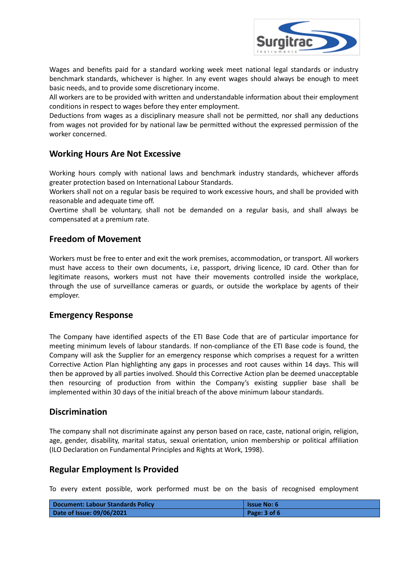

Wages and benefits paid for a standard working week meet national legal standards or industry benchmark standards, whichever is higher. In any event wages should always be enough to meet basic needs, and to provide some discretionary income.

All workers are to be provided with written and understandable information about their employment conditions in respect to wages before they enter employment.

Deductions from wages as a disciplinary measure shall not be permitted, nor shall any deductions from wages not provided for by national law be permitted without the expressed permission of the worker concerned.

# **Working Hours Are Not Excessive**

Working hours comply with national laws and benchmark industry standards, whichever affords greater protection based on International Labour Standards.

Workers shall not on a regular basis be required to work excessive hours, and shall be provided with reasonable and adequate time off.

Overtime shall be voluntary, shall not be demanded on a regular basis, and shall always be compensated at a premium rate.

# **Freedom of Movement**

Workers must be free to enter and exit the work premises, accommodation, or transport. All workers must have access to their own documents, i.e, passport, driving licence, ID card. Other than for legitimate reasons, workers must not have their movements controlled inside the workplace, through the use of surveillance cameras or guards, or outside the workplace by agents of their employer.

#### **Emergency Response**

The Company have identified aspects of the ETI Base Code that are of particular importance for meeting minimum levels of labour standards. If non-compliance of the ETI Base code is found, the Company will ask the Supplier for an emergency response which comprises a request for a written Corrective Action Plan highlighting any gaps in processes and root causes within 14 days. This will then be approved by all parties involved. Should this Corrective Action plan be deemed unacceptable then resourcing of production from within the Company's existing supplier base shall be implemented within 30 days of the initial breach of the above minimum labour standards.

#### **Discrimination**

The company shall not discriminate against any person based on race, caste, national origin, religion, age, gender, disability, marital status, sexual orientation, union membership or political affiliation (ILO Declaration on Fundamental Principles and Rights at Work, 1998).

#### **Regular Employment Is Provided**

To every extent possible, work performed must be on the basis of recognised employment

| Document: Labour Standards Policy | l Issue No: 6    |
|-----------------------------------|------------------|
| Date of Issue: 09/06/2021         | Page: $3$ of $6$ |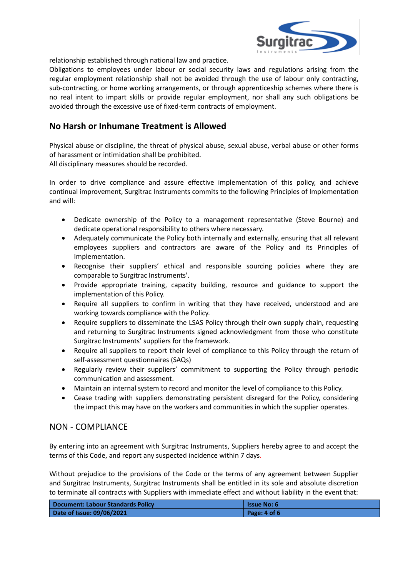

relationship established through national law and practice.

Obligations to employees under labour or social security laws and regulations arising from the regular employment relationship shall not be avoided through the use of labour only contracting, sub-contracting, or home working arrangements, or through apprenticeship schemes where there is no real intent to impart skills or provide regular employment, nor shall any such obligations be avoided through the excessive use of fixed-term contracts of employment.

# **No Harsh or Inhumane Treatment is Allowed**

Physical abuse or discipline, the threat of physical abuse, sexual abuse, verbal abuse or other forms of harassment or intimidation shall be prohibited. All disciplinary measures should be recorded.

In order to drive compliance and assure effective implementation of this policy, and achieve continual improvement, Surgitrac Instruments commits to the following Principles of Implementation

- Dedicate ownership of the Policy to a management representative (Steve Bourne) and dedicate operational responsibility to others where necessary.
- Adequately communicate the Policy both internally and externally, ensuring that all relevant employees suppliers and contractors are aware of the Policy and its Principles of Implementation.
- Recognise their suppliers' ethical and responsible sourcing policies where they are comparable to Surgitrac Instruments'.
- Provide appropriate training, capacity building, resource and guidance to support the implementation of this Policy.
- Require all suppliers to confirm in writing that they have received, understood and are working towards compliance with the Policy.
- Require suppliers to disseminate the LSAS Policy through their own supply chain, requesting and returning to Surgitrac Instruments signed acknowledgment from those who constitute Surgitrac Instruments' suppliers for the framework.
- Require all suppliers to report their level of compliance to this Policy through the return of self-assessment questionnaires (SAQs)
- Regularly review their suppliers' commitment to supporting the Policy through periodic communication and assessment.
- Maintain an internal system to record and monitor the level of compliance to this Policy.
- Cease trading with suppliers demonstrating persistent disregard for the Policy, considering the impact this may have on the workers and communities in which the supplier operates.

#### NON - COMPLIANCE

and will:

By entering into an agreement with Surgitrac Instruments, Suppliers hereby agree to and accept the terms of this Code, and report any suspected incidence within 7 days.

Without prejudice to the provisions of the Code or the terms of any agreement between Supplier and Surgitrac Instruments, Surgitrac Instruments shall be entitled in its sole and absolute discretion to terminate all contracts with Suppliers with immediate effect and without liability in the event that:

| Document: Labour Standards Policy | l Issue No: 6    |
|-----------------------------------|------------------|
| Date of Issue: 09/06/2021         | Page: $4$ of $6$ |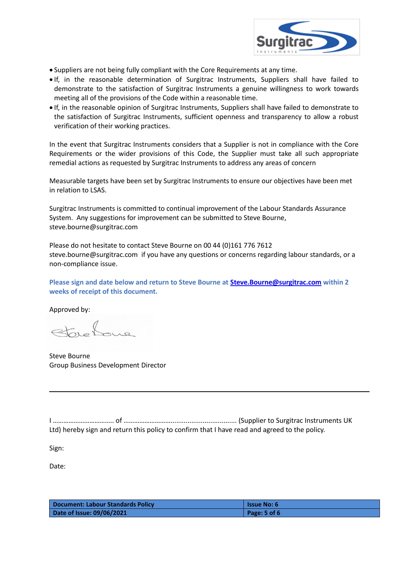

- Suppliers are not being fully compliant with the Core Requirements at any time.
- If, in the reasonable determination of Surgitrac Instruments, Suppliers shall have failed to demonstrate to the satisfaction of Surgitrac Instruments a genuine willingness to work towards meeting all of the provisions of the Code within a reasonable time.
- If, in the reasonable opinion of Surgitrac Instruments, Suppliers shall have failed to demonstrate to the satisfaction of Surgitrac Instruments, sufficient openness and transparency to allow a robust verification of their working practices.

In the event that Surgitrac Instruments considers that a Supplier is not in compliance with the Core Requirements or the wider provisions of this Code, the Supplier must take all such appropriate remedial actions as requested by Surgitrac Instruments to address any areas of concern

Measurable targets have been set by Surgitrac Instruments to ensure our objectives have been met in relation to LSAS.

Surgitrac Instruments is committed to continual improvement of the Labour Standards Assurance System. Any suggestions for improvement can be submitted to Steve Bourne, steve.bourne@surgitrac.com

Please do not hesitate to contact Steve Bourne on 00 44 (0)161 776 7612 steve.bourne@surgitrac.com if you have any questions or concerns regarding labour standards, or a non-compliance issue.

**Please sign and date below and return to Steve Bourne at [Steve.Bourne@surgitrac.com](mailto:Steve.Bourne@surgitrac.com) within 2 weeks of receipt of this document.**

Approved by:

Steve Bourne Group Business Development Director

I …………………………….. of ………………………................................... (Supplier to Surgitrac Instruments UK Ltd) hereby sign and return this policy to confirm that I have read and agreed to the policy.

Sign:

Date:

| <b>Document: Labour Standards Policy</b> | <b>Issue No: 6</b> |
|------------------------------------------|--------------------|
| Date of Issue: 09/06/2021                | Page: $5$ of $6$   |